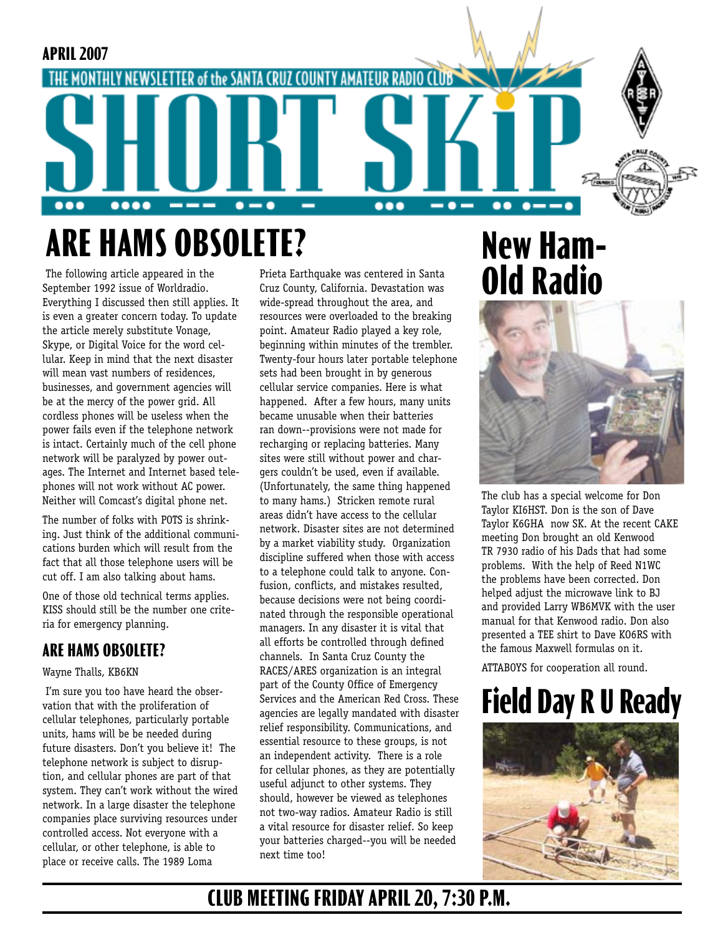

The following article appeared in the Prieta Earthquake was centered in Santa<br>September 1992 issue of Worldradio. Cruz County, California. Devastation was **OIC Radio** September 1992 issue of Worldradio. Everything I discussed then still applies. It is even a greater concern today. To update the article merely substitute Vonage, Skype, or Digital Voice for the word cellular. Keep in mind that the next disaster will mean vast numbers of residences, businesses, and government agencies will be at the mercy of the power grid. All cordless phones will be useless when the power fails even if the telephone network is intact. Certainly much of the cell phone network will be paralyzed by power outages. The Internet and Internet based telephones will not work without AC power. Neither will Comcast's digital phone net.

The number of folks with POTS is shrinking. Just think of the additional communications burden which will result from the fact that all those telephone users will be cut off. I am also talking about hams.

One of those old technical terms applies. KISS should still be the number one criteria for emergency planning.

## **ARE HAMS OBSOLETE?**

### Wayne Thalls, KB6KN

 I'm sure you too have heard the observation that with the proliferation of cellular telephones, particularly portable units, hams will be be needed during future disasters. Don't you believe it! The telephone network is subject to disruption, and cellular phones are part of that system. They can't work without the wired network. In a large disaster the telephone companies place surviving resources under controlled access. Not everyone with a cellular, or other telephone, is able to place or receive calls. The 1989 Loma

Prieta Earthquake was centered in Santa Cruz County, California. Devastation was wide-spread throughout the area, and resources were overloaded to the breaking point. Amateur Radio played a key role, beginning within minutes of the trembler. Twenty-four hours later portable telephone sets had been brought in by generous cellular service companies. Here is what happened. After a few hours, many units became unusable when their batteries ran down--provisions were not made for recharging or replacing batteries. Many sites were still without power and chargers couldn't be used, even if available. (Unfortunately, the same thing happened to many hams.) Stricken remote rural areas didn't have access to the cellular network. Disaster sites are not determined by a market viability study. Organization discipline suffered when those with access to a telephone could talk to anyone. Confusion, conflicts, and mistakes resulted, because decisions were not being coordinated through the responsible operational managers. In any disaster it is vital that all efforts be controlled through defined channels. In Santa Cruz County the RACES/ARES organization is an integral part of the County Office of Emergency Services and the American Red Cross. These agencies are legally mandated with disaster relief responsibility. Communications, and essential resource to these groups, is not an independent activity. There is a role for cellular phones, as they are potentially useful adjunct to other systems. They should, however be viewed as telephones not two-way radios. Amateur Radio is still a vital resource for disaster relief. So keep your batteries charged--you will be needed next time too!

# **New Ham-**



The club has a special welcome for Don Taylor KI6HST. Don is the son of Dave Taylor K6GHA now SK. At the recent CAKE meeting Don brought an old Kenwood TR 7930 radio of his Dads that had some problems. With the help of Reed N1WC the problems have been corrected. Don helped adjust the microwave link to BJ and provided Larry WB6MVK with the user manual for that Kenwood radio. Don also presented a TEE shirt to Dave KO6RS with the famous Maxwell formulas on it.

ATTABOYS for cooperation all round.

# **Field Day R U Ready**



# **CLUB MEETING FRIDAY APRIL 20, 7:30 P.M.**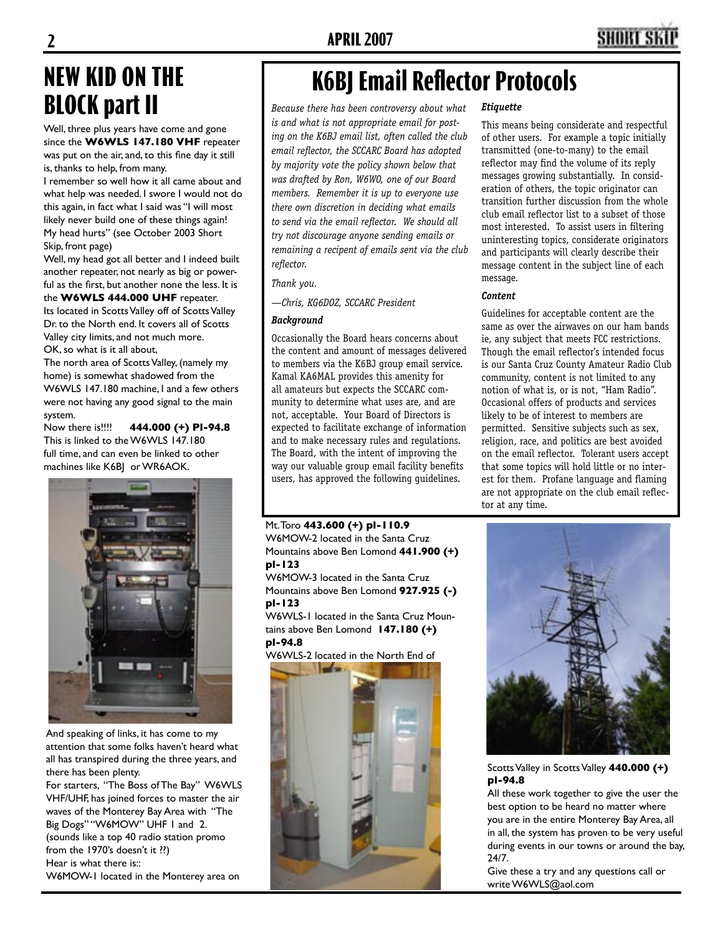# **NEW KID ON THE BLOCK part II**

Well, three plus years have come and gone since the **W6WLS 147.180 VHF** repeater was put on the air, and, to this fine day it still

is, thanks to help, from many. I remember so well how it all came about and

what help was needed. I swore I would not do this again, in fact what I said was "I will most likely never build one of these things again! My head hurts" (see October 2003 Short Skip, front page)

Well, my head got all better and I indeed built another repeater, not nearly as big or powerful as the first, but another none the less. It is the **W6WLS 444.000 UHF** repeater.

Its located in Scotts Valley off of Scotts Valley Dr. to the North end. It covers all of Scotts Valley city limits, and not much more. OK, so what is it all about,

The north area of Scotts Valley, (namely my home) is somewhat shadowed from the W6WLS 147.180 machine, I and a few others were not having any good signal to the main system.

Now there is!!!! **444.000 (+) Pl-94.8** This is linked to the W6WLS 147.180 full time, and can even be linked to other machines like K6B| or WR6AOK.



And speaking of links, it has come to my attention that some folks haven't heard what all has transpired during the three years, and there has been plenty.

For starters, "The Boss of The Bay" W6WLS VHF/UHF, has joined forces to master the air waves of the Monterey Bay Area with "The Big Dogs" "W6MOW" UHF 1 and 2. (sounds like a top 40 radio station promo from the 1970's doesn't it ??) Hear is what there is::

W6MOW-1 located in the Monterey area on

# **K6BJ Email Reflector Protocols**

*Because there has been controversy about what is and what is not appropriate email for posting on the K6BJ email list, often called the club email reflector, the SCCARC Board has adopted by majority vote the policy shown below that was drafted by Ron, W6WO, one of our Board members. Remember it is up to everyone use there own discretion in deciding what emails to send via the email reflector. We should all try not discourage anyone sending emails or remaining a recipent of emails sent via the club reflector.*

*Thank you.*

*—Chris, KG6DOZ, SCCARC President* 

### *Background*

Occasionally the Board hears concerns about the content and amount of messages delivered to members via the K6BJ group email service. Kamal KA6MAL provides this amenity for all amateurs but expects the SCCARC community to determine what uses are, and are not, acceptable. Your Board of Directors is expected to facilitate exchange of information and to make necessary rules and regulations. The Board, with the intent of improving the way our valuable group email facility benefits users, has approved the following guidelines.

Mt. Toro **443.600 (+) pl-110.9**  W6MOW-2 located in the Santa Cruz Mountains above Ben Lomond **441.900 (+) pl-123**

W6MOW-3 located in the Santa Cruz Mountains above Ben Lomond **927.925 (-) pl-123**

W6WLS-1 located in the Santa Cruz Mountains above Ben Lomond **147.180 (+) pl-94.8**

W6WLS-2 located in the North End of



### *Etiquette*

This means being considerate and respectful of other users. For example a topic initially transmitted (one-to-many) to the email reflector may find the volume of its reply messages growing substantially. In consideration of others, the topic originator can transition further discussion from the whole club email reflector list to a subset of those most interested. To assist users in filtering uninteresting topics, considerate originators and participants will clearly describe their message content in the subject line of each message.

### *Content*

Guidelines for acceptable content are the same as over the airwaves on our ham bands ie, any subject that meets FCC restrictions. Though the email reflector's intended focus is our Santa Cruz County Amateur Radio Club community, content is not limited to any notion of what is, or is not, "Ham Radio". Occasional offers of products and services likely to be of interest to members are permitted. Sensitive subjects such as sex, religion, race, and politics are best avoided on the email reflector. Tolerant users accept that some topics will hold little or no interest for them. Profane language and flaming are not appropriate on the club email reflector at any time.



Scotts Valley in Scotts Valley **440.000 (+) pl-94.8**

All these work together to give the user the best option to be heard no matter where you are in the entire Monterey Bay Area, all in all, the system has proven to be very useful during events in our towns or around the bay, 24/7.

Give these a try and any questions call or write W6WLS@aol.com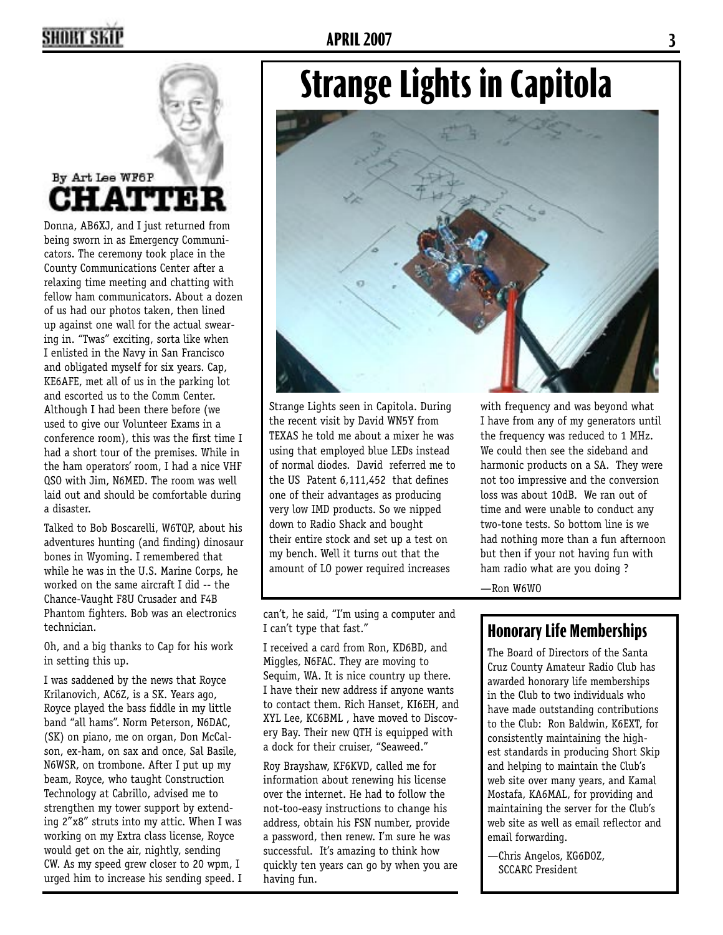# **2 APRIL 2007 3**

# By Art Lee WF6P **HATTER**

Donna, AB6XJ, and I just returned from being sworn in as Emergency Communicators. The ceremony took place in the County Communications Center after a relaxing time meeting and chatting with fellow ham communicators. About a dozen of us had our photos taken, then lined up against one wall for the actual swearing in. "Twas" exciting, sorta like when I enlisted in the Navy in San Francisco and obligated myself for six years. Cap, KE6AFE, met all of us in the parking lot and escorted us to the Comm Center. Although I had been there before (we used to give our Volunteer Exams in a conference room), this was the first time I had a short tour of the premises. While in the ham operators' room, I had a nice VHF QSO with Jim, N6MED. The room was well laid out and should be comfortable during a disaster.

Talked to Bob Boscarelli, W6TQP, about his adventures hunting (and finding) dinosaur bones in Wyoming. I remembered that while he was in the U.S. Marine Corps, he worked on the same aircraft I did -- the Chance-Vaught F8U Crusader and F4B Phantom fighters. Bob was an electronics technician.

Oh, and a big thanks to Cap for his work in setting this up.

I was saddened by the news that Royce Krilanovich, AC6Z, is a SK. Years ago, Royce played the bass fiddle in my little band "all hams". Norm Peterson, N6DAC, (SK) on piano, me on organ, Don McCalson, ex-ham, on sax and once, Sal Basile, N6WSR, on trombone. After I put up my beam, Royce, who taught Construction Technology at Cabrillo, advised me to strengthen my tower support by extending 2"x8" struts into my attic. When I was working on my Extra class license, Royce would get on the air, nightly, sending CW. As my speed grew closer to 20 wpm, I urged him to increase his sending speed. I

# **Strange Lights in Capitola**



Strange Lights seen in Capitola. During the recent visit by David WN5Y from TEXAS he told me about a mixer he was using that employed blue LEDs instead of normal diodes. David referred me to the US Patent 6,111,452 that defines one of their advantages as producing very low IMD products. So we nipped down to Radio Shack and bought their entire stock and set up a test on my bench. Well it turns out that the amount of LO power required increases

can't, he said, "I'm using a computer and I can't type that fast."

I received a card from Ron, KD6BD, and Miggles, N6FAC. They are moving to Sequim, WA. It is nice country up there. I have their new address if anyone wants to contact them. Rich Hanset, KI6EH, and XYL Lee, KC6BML , have moved to Discovery Bay. Their new QTH is equipped with a dock for their cruiser, "Seaweed."

Roy Brayshaw, KF6KVD, called me for information about renewing his license over the internet. He had to follow the not-too-easy instructions to change his address, obtain his FSN number, provide a password, then renew. I'm sure he was successful. It's amazing to think how quickly ten years can go by when you are having fun.

with frequency and was beyond what I have from any of my generators until the frequency was reduced to 1 MHz. We could then see the sideband and harmonic products on a SA. They were not too impressive and the conversion loss was about 10dB. We ran out of time and were unable to conduct any two-tone tests. So bottom line is we had nothing more than a fun afternoon but then if your not having fun with ham radio what are you doing ?

—Ron W6WO

# **Honorary Life Memberships**

The Board of Directors of the Santa Cruz County Amateur Radio Club has awarded honorary life memberships in the Club to two individuals who have made outstanding contributions to the Club: Ron Baldwin, K6EXT, for consistently maintaining the highest standards in producing Short Skip and helping to maintain the Club's web site over many years, and Kamal Mostafa, KA6MAL, for providing and maintaining the server for the Club's web site as well as email reflector and email forwarding.

—Chris Angelos, KG6DOZ, SCCARC President